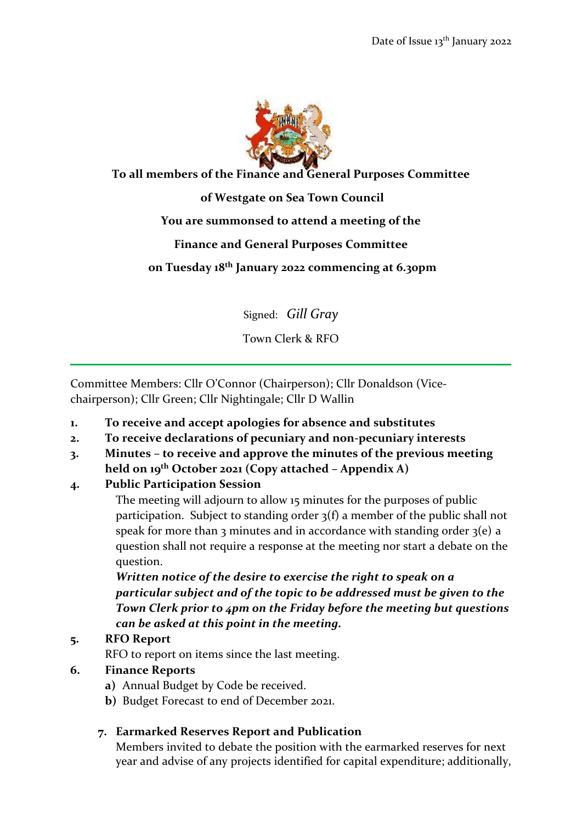

#### **To all members of the Finance and General Purposes Committee**

#### **of Westgate on Sea Town Council**

## **You are summonsed to attend a meeting of the**

## **Finance and General Purposes Committee**

## **on Tuesday 18 th January 2022 commencing at 6.30pm**

Signed: *Gill Gray*

Town Clerk & RFO

Committee Members: Cllr O'Connor (Chairperson); Cllr Donaldson (Vicechairperson); Cllr Green; Cllr Nightingale; Cllr D Wallin

- **1. To receive and accept apologies for absence and substitutes**
- **2. To receive declarations of pecuniary and non-pecuniary interests**
- **3. Minutes – to receive and approve the minutes of the previous meeting held on 19th October 2021 (Copy attached – Appendix A)**

# **4. Public Participation Session**

The meeting will adjourn to allow 15 minutes for the purposes of public participation. Subject to standing order 3(f) a member of the public shall not speak for more than 3 minutes and in accordance with standing order  $3(e)$  a question shall not require a response at the meeting nor start a debate on the question.

*Written notice of the desire to exercise the right to speak on a particular subject and of the topic to be addressed must be given to the Town Clerk prior to 4pm on the Friday before the meeting but questions can be asked at this point in the meeting.*

## **5. RFO Report**

RFO to report on items since the last meeting.

## **6. Finance Reports**

- **a)** Annual Budget by Code be received.
- **b)** Budget Forecast to end of December 2021.

## **7. Earmarked Reserves Report and Publication**

Members invited to debate the position with the earmarked reserves for next year and advise of any projects identified for capital expenditure; additionally,